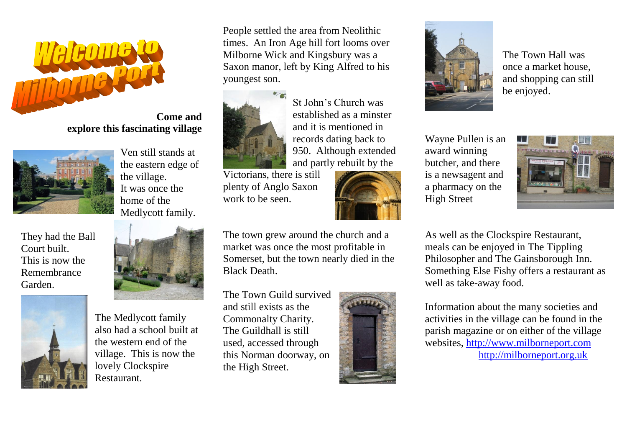

## **Come and explore this fascinating village**



They had the Ball Court built. This is now the Remembrance Garden.



Ven still stands at the eastern edge of

Medlycott family.

the village. It was once the home of the

The Medlycott family also had a school built at the western end of the village. This is now the lovely Clockspire Restaurant.

People settled the area from Neolithic times. An Iron Age hill fort looms over Milborne Wick and Kingsbury was a Saxon manor, left by King Alfred to his youngest son.



St John's Church was established as a minster and it is mentioned in records dating back to 950. Although extended and partly rebuilt by the

Victorians, there is still plenty of Anglo Saxon work to be seen.



The town grew around the church and a market was once the most profitable in Somerset, but the town nearly died in the Black Death.

The Town Guild survived and still exists as the Commonalty Charity. The Guildhall is still used, accessed through this Norman doorway, on the High Street.





The Town Hall was once a market house, and shopping can still be enjoyed.

Wayne Pullen is an award winning butcher, and there is a newsagent and a pharmacy on the High Street



As well as the Clockspire Restaurant, meals can be enjoyed in The Tippling Philosopher and The Gainsborough Inn. Something Else Fishy offers a restaurant as well as take-away food.

Information about the many societies and activities in the village can be found in the parish magazine or on either of the village websites, [http://www.milborneport.com](http://www.milborneport.com/) [http://milborneport.org.uk](http://milborneport.org.uk/)